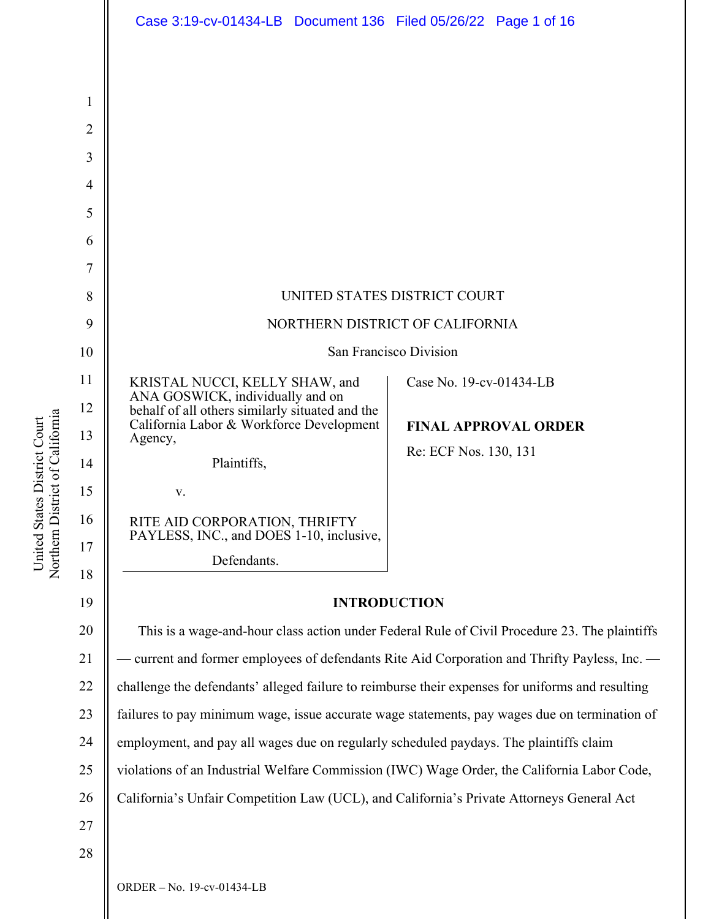|                | Case 3:19-cv-01434-LB  Document 136  Filed 05/26/22  Page 1 of 16                                |                             |
|----------------|--------------------------------------------------------------------------------------------------|-----------------------------|
|                |                                                                                                  |                             |
|                |                                                                                                  |                             |
| 1              |                                                                                                  |                             |
| $\overline{2}$ |                                                                                                  |                             |
| 3              |                                                                                                  |                             |
| $\overline{4}$ |                                                                                                  |                             |
| 5              |                                                                                                  |                             |
| 6              |                                                                                                  |                             |
| 7              |                                                                                                  |                             |
| 8              | UNITED STATES DISTRICT COURT                                                                     |                             |
| 9              | NORTHERN DISTRICT OF CALIFORNIA                                                                  |                             |
| 10             | San Francisco Division                                                                           |                             |
| 11             | KRISTAL NUCCI, KELLY SHAW, and<br>ANA GOSWICK, individually and on                               | Case No. 19-cv-01434-LB     |
| 12             | behalf of all others similarly situated and the<br>California Labor & Workforce Development      | <b>FINAL APPROVAL ORDER</b> |
| 13             | Agency,                                                                                          | Re: ECF Nos. 130, 131       |
| 14             | Plaintiffs,                                                                                      |                             |
| 15             | V.                                                                                               |                             |
| 16<br>17       | RITE AID CORPORATION, THRIFTY<br>PAYLESS, INC., and DOES 1-10, inclusive,                        |                             |
| 18             | Defendants.                                                                                      |                             |
| 19             | <b>INTRODUCTION</b>                                                                              |                             |
| 20             | This is a wage-and-hour class action under Federal Rule of Civil Procedure 23. The plaintiffs    |                             |
| 21             | - current and former employees of defendants Rite Aid Corporation and Thrifty Payless, Inc. —    |                             |
| 22             | challenge the defendants' alleged failure to reimburse their expenses for uniforms and resulting |                             |
| 23             | failures to pay minimum wage, issue accurate wage statements, pay wages due on termination of    |                             |
| 24             | employment, and pay all wages due on regularly scheduled paydays. The plaintiffs claim           |                             |
| 25             | violations of an Industrial Welfare Commission (IWC) Wage Order, the California Labor Code,      |                             |
| 26             | California's Unfair Competition Law (UCL), and California's Private Attorneys General Act        |                             |
| 27             |                                                                                                  |                             |
| 28             |                                                                                                  |                             |
|                |                                                                                                  |                             |

United States District Court Northern District of Californi a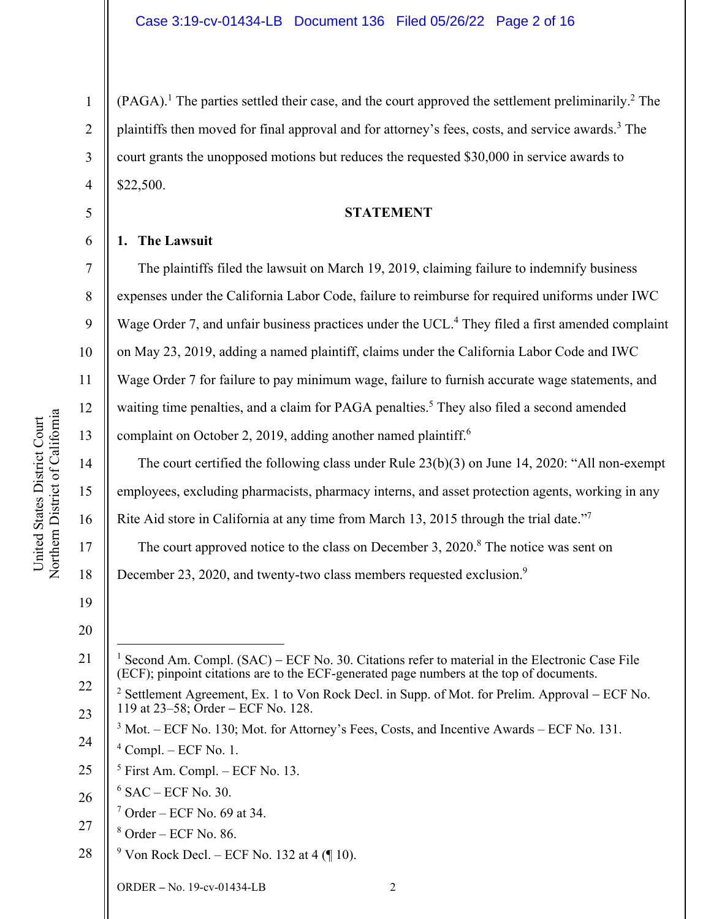$(PAGA)$ .<sup>1</sup> The parties settled their case, and the court approved the settlement preliminarily.<sup>2</sup> The plaintiffs then moved for final approval and for attorney's fees, costs, and service awards.<sup>3</sup> The court grants the unopposed motions but reduces the requested \$30,000 in service awards to \$22,500.

#### **STATEMENT**

#### **1. The Lawsuit**

1

2

3

4

5

6

7

8

9

10

11

12

13

14

15

16

17

18

The plaintiffs filed the lawsuit on March 19, 2019, claiming failure to indemnify business expenses under the California Labor Code, failure to reimburse for required uniforms under IWC Wage Order 7, and unfair business practices under the UCL.<sup>4</sup> They filed a first amended complaint on May 23, 2019, adding a named plaintiff, claims under the California Labor Code and IWC Wage Order 7 for failure to pay minimum wage, failure to furnish accurate wage statements, and waiting time penalties, and a claim for PAGA penalties.<sup>5</sup> They also filed a second amended complaint on October 2, 2019, adding another named plaintiff.<sup>6</sup>

The court certified the following class under Rule 23(b)(3) on June 14, 2020: "All non-exempt employees, excluding pharmacists, pharmacy interns, and asset protection agents, working in any Rite Aid store in California at any time from March 13, 2015 through the trial date."<sup>7</sup> The court approved notice to the class on December 3, 2020.<sup>8</sup> The notice was sent on

December 23, 2020, and twenty-two class members requested exclusion.<sup>9</sup>

19 20

21

- 25 5 First Am. Compl. – ECF No. 13.
- 26  $6$  SAC – ECF No. 30.
	- $7$  Order ECF No. 69 at 34.
- 27 8 Order – ECF No. 86.
- 28 <sup>9</sup> Von Rock Decl. – ECF No. 132 at 4 (¶ 10).

<sup>1</sup> Second Am. Compl. (SAC) – ECF No. 30. Citations refer to material in the Electronic Case File (ECF); pinpoint citations are to the ECF-generated page numbers at the top of documents.

<sup>22</sup>  23 <sup>2</sup> Settlement Agreement, Ex. 1 to Von Rock Decl. in Supp. of Mot. for Prelim. Approval – ECF No. 119 at 23–58; Order – ECF No. 128.

<sup>24</sup>   $3 \text{ Mot.} - ECF \text{No. } 130$ ; Mot. for Attorney's Fees, Costs, and Incentive Awards – ECF No. 131.  $4$  Compl. – ECF No. 1.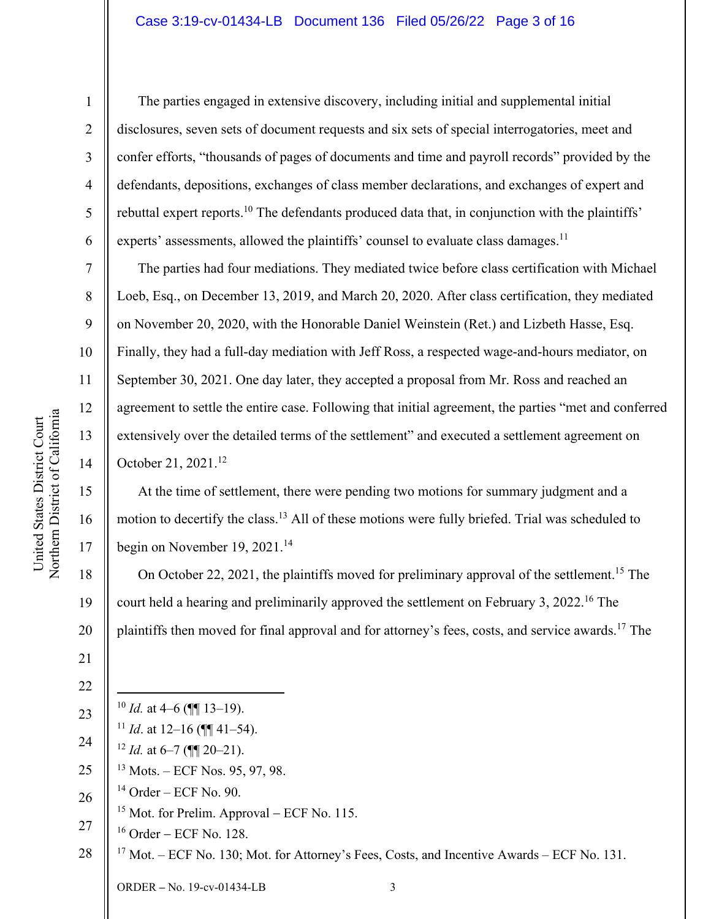## Case 3:19-cv-01434-LB Document 136 Filed 05/26/22 Page 3 of 16

The parties engaged in extensive discovery, including initial and supplemental initial disclosures, seven sets of document requests and six sets of special interrogatories, meet and confer efforts, "thousands of pages of documents and time and payroll records" provided by the defendants, depositions, exchanges of class member declarations, and exchanges of expert and rebuttal expert reports.<sup>10</sup> The defendants produced data that, in conjunction with the plaintiffs' experts' assessments, allowed the plaintiffs' counsel to evaluate class damages.<sup>11</sup>

The parties had four mediations. They mediated twice before class certification with Michael Loeb, Esq., on December 13, 2019, and March 20, 2020. After class certification, they mediated on November 20, 2020, with the Honorable Daniel Weinstein (Ret.) and Lizbeth Hasse, Esq. Finally, they had a full-day mediation with Jeff Ross, a respected wage-and-hours mediator, on September 30, 2021. One day later, they accepted a proposal from Mr. Ross and reached an agreement to settle the entire case. Following that initial agreement, the parties "met and conferred extensively over the detailed terms of the settlement" and executed a settlement agreement on October 21, 2021.12

At the time of settlement, there were pending two motions for summary judgment and a motion to decertify the class.13 All of these motions were fully briefed. Trial was scheduled to begin on November 19, 2021.<sup>14</sup>

20 On October 22, 2021, the plaintiffs moved for preliminary approval of the settlement.<sup>15</sup> The court held a hearing and preliminarily approved the settlement on February 3, 2022.16 The plaintiffs then moved for final approval and for attorney's fees, costs, and service awards.17 The

ORDER **–** No. 19-cv-01434-LB 3 22 23 24 25 26 27 28  $10$  *Id.* at 4–6 ( $\blacksquare$  13–19). <sup>11</sup> *Id.* at 12–16 ( $\P$  $\P$  $41–54$ ). <sup>12</sup> *Id.* at 6–7 (¶¶ 20–21). 13 Mots. – ECF Nos. 95, 97, 98.  $14$  Order – ECF No. 90. <sup>15</sup> Mot. for Prelim. Approval – ECF No. 115.  $16$  Order – ECF No. 128.  $17$  Mot. – ECF No. 130; Mot. for Attorney's Fees, Costs, and Incentive Awards – ECF No. 131.

1

2

3

4

5

6

7

8

9

10

11

12

13

14

15

16

17

18

19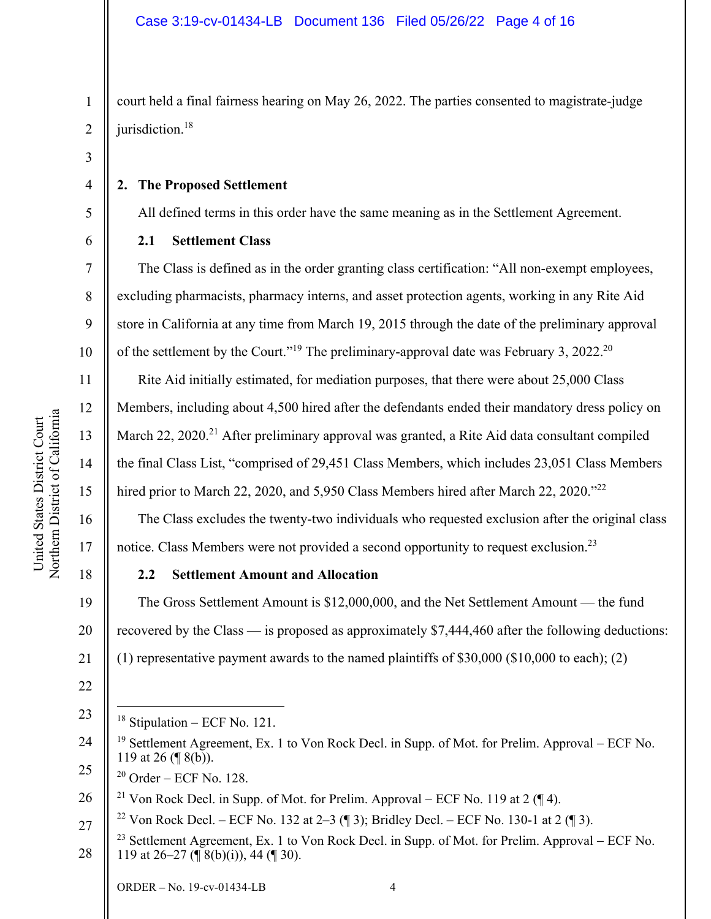court held a final fairness hearing on May 26, 2022. The parties consented to magistrate-judge jurisdiction.<sup>18</sup>

3

4

5

6

7

8

9

10

11

12

13

14

15

16

17

18

2

1

#### **2. The Proposed Settlement**

All defined terms in this order have the same meaning as in the Settlement Agreement.

## **2.1 Settlement Class**

The Class is defined as in the order granting class certification: "All non-exempt employees, excluding pharmacists, pharmacy interns, and asset protection agents, working in any Rite Aid store in California at any time from March 19, 2015 through the date of the preliminary approval of the settlement by the Court."<sup>19</sup> The preliminary-approval date was February 3, 2022.<sup>20</sup>

Rite Aid initially estimated, for mediation purposes, that there were about 25,000 Class Members, including about 4,500 hired after the defendants ended their mandatory dress policy on March  $22$ ,  $2020$ <sup>21</sup> After preliminary approval was granted, a Rite Aid data consultant compiled the final Class List, "comprised of 29,451 Class Members, which includes 23,051 Class Members hired prior to March 22, 2020, and 5,950 Class Members hired after March 22, 2020."<sup>22</sup>

The Class excludes the twenty-two individuals who requested exclusion after the original class notice. Class Members were not provided a second opportunity to request exclusion.<sup>23</sup>

# **2.2 Settlement Amount and Allocation**

19 20 21 The Gross Settlement Amount is \$12,000,000, and the Net Settlement Amount — the fund recovered by the Class — is proposed as approximately \$7,444,460 after the following deductions: (1) representative payment awards to the named plaintiffs of \$30,000 (\$10,000 to each); (2)

22

27

23  $18$  Stipulation – ECF No. 121.

<sup>24</sup>  25 <sup>19</sup> Settlement Agreement, Ex. 1 to Von Rock Decl. in Supp. of Mot. for Prelim. Approval – ECF No. 119 at 26 (¶ 8(b)).

 $20$  Order – ECF No. 128.

<sup>26</sup>  <sup>21</sup> Von Rock Decl. in Supp. of Mot. for Prelim. Approval – ECF No. 119 at 2 ( $\P$ 4).

<sup>&</sup>lt;sup>22</sup> Von Rock Decl. – ECF No. 132 at 2–3 (¶ 3); Bridley Decl. – ECF No. 130-1 at 2 (¶ 3).

<sup>28</sup>  <sup>23</sup> Settlement Agreement, Ex. 1 to Von Rock Decl. in Supp. of Mot. for Prelim. Approval – ECF No. 119 at 26–27 ( $\P$  8(b)(i)), 44 ( $\P$  30).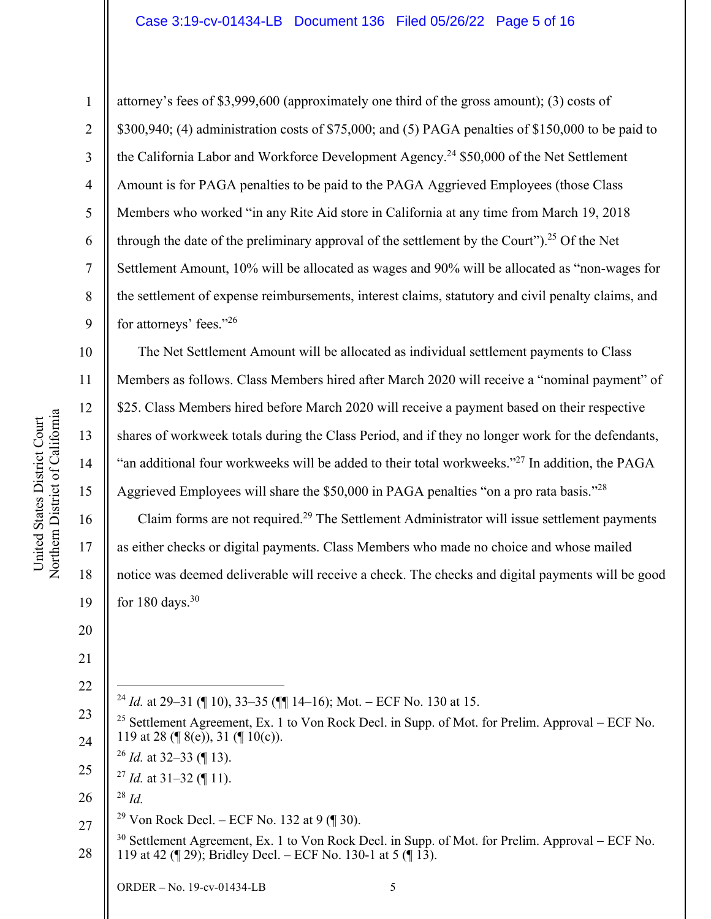# Case 3:19-cv-01434-LB Document 136 Filed 05/26/22 Page 5 of 16

attorney's fees of \$3,999,600 (approximately one third of the gross amount); (3) costs of

the California Labor and Workforce Development Agency.<sup>24</sup> \$50,000 of the Net Settlement

Amount is for PAGA penalties to be paid to the PAGA Aggrieved Employees (those Class

Members who worked "in any Rite Aid store in California at any time from March 19, 2018

through the date of the preliminary approval of the settlement by the Court").<sup>25</sup> Of the Net

Settlement Amount, 10% will be allocated as wages and 90% will be allocated as "non-wages for

the settlement of expense reimbursements, interest claims, statutory and civil penalty claims, and

\$300,940; (4) administration costs of \$75,000; and (5) PAGA penalties of \$150,000 to be paid to

Northern District of Californi a

United States District Court

United States District Court

1

2

3

4

5

6

7

8

9

for attorneys' fees."26

10 11 12 13 14 15 16 17 18 19 The Net Settlement Amount will be allocated as individual settlement payments to Class Members as follows. Class Members hired after March 2020 will receive a "nominal payment" of \$25. Class Members hired before March 2020 will receive a payment based on their respective shares of workweek totals during the Class Period, and if they no longer work for the defendants, "an additional four workweeks will be added to their total workweeks."27 In addition, the PAGA Aggrieved Employees will share the \$50,000 in PAGA penalties "on a pro rata basis."28 Claim forms are not required.29 The Settlement Administrator will issue settlement payments as either checks or digital payments. Class Members who made no choice and whose mailed notice was deemed deliverable will receive a check. The checks and digital payments will be good for  $180 \text{ days}$ .  $30$ 

20

21

22

<sup>24</sup> *Id.* at 29–31 ( $\parallel$  10), 33–35 ( $\parallel$  $\parallel$  14–16); Mot. – ECF No. 130 at 15.

<sup>26</sup> *Id.* at 32–33 (¶ 13).

26 <sup>28</sup> *Id.*

27

<sup>29</sup> Von Rock Decl. – ECF No. 132 at 9 (¶ 30).

28  $30$  Settlement Agreement, Ex. 1 to Von Rock Decl. in Supp. of Mot. for Prelim. Approval – ECF No. 119 at 42 (¶ 29); Bridley Decl. – ECF No. 130-1 at 5 (¶ 13).

<sup>23</sup>  24 <sup>25</sup> Settlement Agreement, Ex. 1 to Von Rock Decl. in Supp. of Mot. for Prelim. Approval – ECF No. 119 at 28 (¶ 8(e)), 31 (¶ 10(c)).

<sup>25</sup>  <sup>27</sup> *Id.* at 31–32 (¶ 11).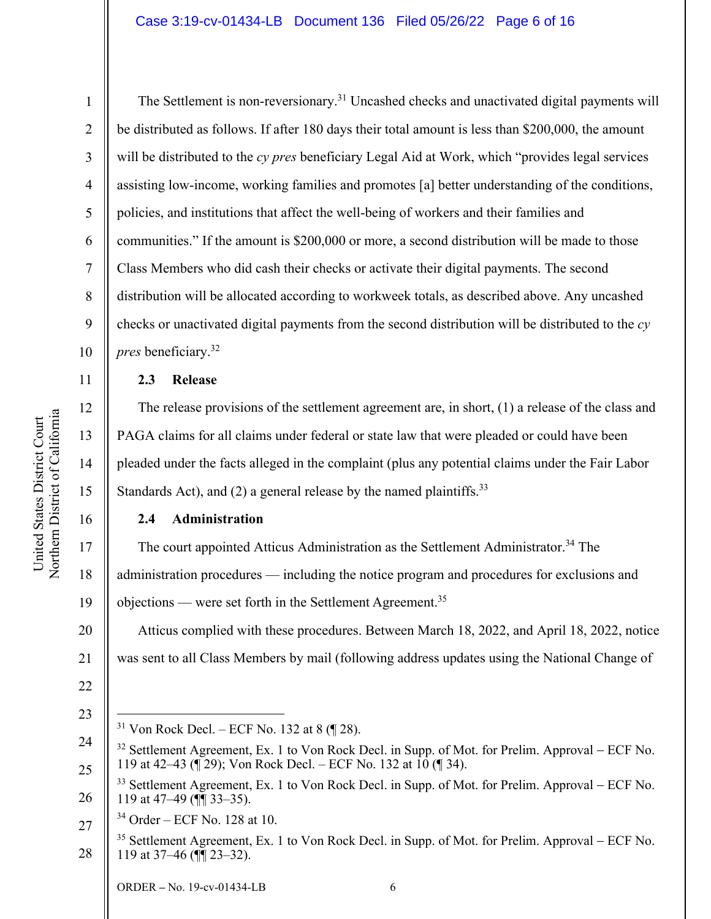#### Case 3:19-cv-01434-LB Document 136 Filed 05/26/22 Page 6 of 16

1

2

3

4

5

6

7

8

9

10

11

12

13

14

15

16

20

21

22

23

The Settlement is non-reversionary.<sup>31</sup> Uncashed checks and unactivated digital payments will be distributed as follows. If after 180 days their total amount is less than \$200,000, the amount will be distributed to the *cy pres* beneficiary Legal Aid at Work, which "provides legal services assisting low-income, working families and promotes [a] better understanding of the conditions, policies, and institutions that affect the well-being of workers and their families and communities." If the amount is \$200,000 or more, a second distribution will be made to those Class Members who did cash their checks or activate their digital payments. The second distribution will be allocated according to workweek totals, as described above. Any uncashed checks or unactivated digital payments from the second distribution will be distributed to the *cy pres* beneficiary.32

## **2.3 Release**

The release provisions of the settlement agreement are, in short, (1) a release of the class and PAGA claims for all claims under federal or state law that were pleaded or could have been pleaded under the facts alleged in the complaint (plus any potential claims under the Fair Labor Standards Act), and (2) a general release by the named plaintiffs.<sup>33</sup>

# **2.4 Administration**

17 18 19 The court appointed Atticus Administration as the Settlement Administrator.<sup>34</sup> The administration procedures — including the notice program and procedures for exclusions and objections — were set forth in the Settlement Agreement.<sup>35</sup>

Atticus complied with these procedures. Between March 18, 2022, and April 18, 2022, notice was sent to all Class Members by mail (following address updates using the National Change of

<sup>&</sup>lt;sup>31</sup> Von Rock Decl. – ECF No. 132 at 8  $(\sqrt{\phantom{a}}\,28)$ .

<sup>24</sup>  25 <sup>32</sup> Settlement Agreement, Ex. 1 to Von Rock Decl. in Supp. of Mot. for Prelim. Approval – ECF No. 119 at 42–43 ( $\sqrt{2}$ 9); Von Rock Decl. – ECF No. 132 at  $10 \ (\sqrt{3}4)$ .

<sup>26</sup>  <sup>33</sup> Settlement Agreement, Ex. 1 to Von Rock Decl. in Supp. of Mot. for Prelim. Approval – ECF No. 119 at 47–49 (¶¶ 33–35).

<sup>27</sup>   $34$  Order – ECF No. 128 at 10.

<sup>28</sup>   $35$  Settlement Agreement, Ex. 1 to Von Rock Decl. in Supp. of Mot. for Prelim. Approval – ECF No. 119 at 37–46 (¶¶ 23–32).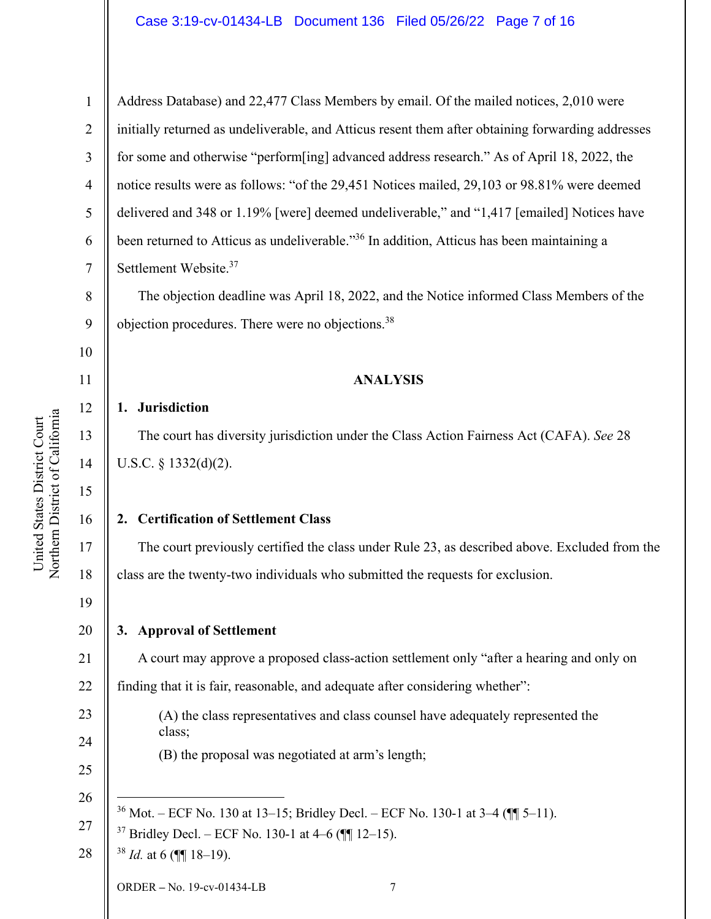#### Case 3:19-cv-01434-LB Document 136 Filed 05/26/22 Page 7 of 16

1 2 3 4 5 6 7 Address Database) and 22,477 Class Members by email. Of the mailed notices, 2,010 were initially returned as undeliverable, and Atticus resent them after obtaining forwarding addresses for some and otherwise "perform[ing] advanced address research." As of April 18, 2022, the notice results were as follows: "of the 29,451 Notices mailed, 29,103 or 98.81% were deemed delivered and 348 or 1.19% [were] deemed undeliverable," and "1,417 [emailed] Notices have been returned to Atticus as undeliverable."36 In addition, Atticus has been maintaining a Settlement Website.37

The objection deadline was April 18, 2022, and the Notice informed Class Members of the objection procedures. There were no objections.38

#### **ANALYSIS**

#### **1. Jurisdiction**

The court has diversity jurisdiction under the Class Action Fairness Act (CAFA). *See* 28 U.S.C. § 1332(d)(2).

#### **2. Certification of Settlement Class**

The court previously certified the class under Rule 23, as described above. Excluded from the class are the twenty-two individuals who submitted the requests for exclusion.

19 20

21

23

24

25

27

8

9

10

11

12

13

14

15

16

17

18

## **3. Approval of Settlement**

- A court may approve a proposed class-action settlement only "after a hearing and only on
- 22 finding that it is fair, reasonable, and adequate after considering whether":
	- (A) the class representatives and class counsel have adequately represented the class;
		- (B) the proposal was negotiated at arm's length;
- 26  $36$  Mot. – ECF No. 130 at 13–15; Bridley Decl. – ECF No. 130-1 at 3–4 ( $\P$  $\P$  5–11).
	- $37$  Bridley Decl. ECF No. 130-1 at 4–6 ( $\P$  $12-15$ ).
- 28 <sup>38</sup> *Id.* at 6 (¶¶ 18–19).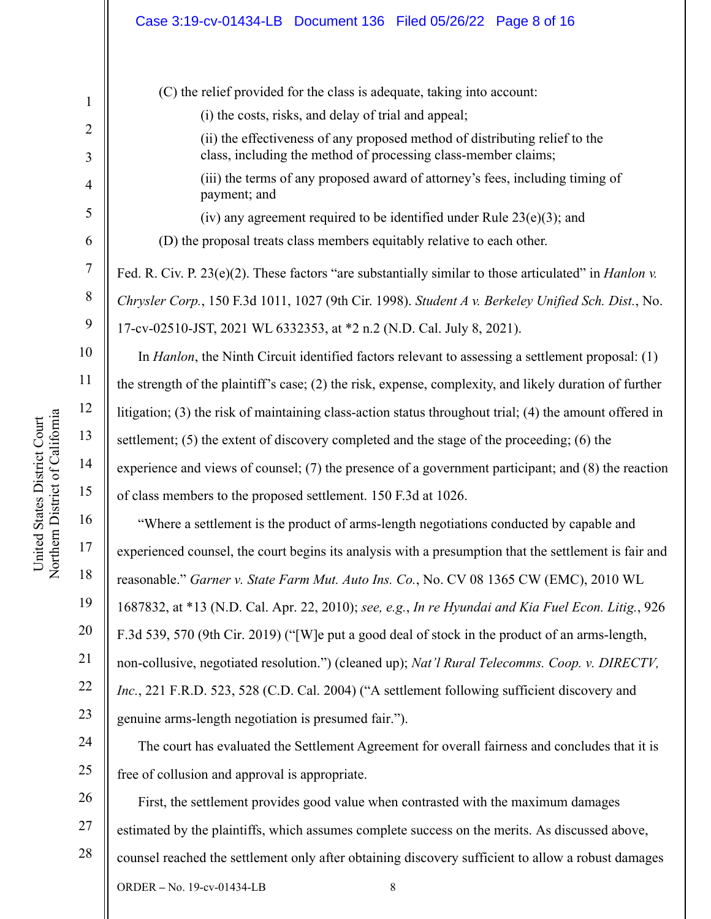#### Case 3:19-cv-01434-LB Document 136 Filed 05/26/22 Page 8 of 16

1 2 3 4 5 6 7 8 9 10 11 12 13 14 15 16 17 18 19 20 21 22 23 24 25 26 27 (C) the relief provided for the class is adequate, taking into account: (i) the costs, risks, and delay of trial and appeal; (ii) the effectiveness of any proposed method of distributing relief to the class, including the method of processing class-member claims; (iii) the terms of any proposed award of attorney's fees, including timing of payment; and (iv) any agreement required to be identified under Rule  $23(e)(3)$ ; and (D) the proposal treats class members equitably relative to each other. Fed. R. Civ. P. 23(e)(2). These factors "are substantially similar to those articulated" in *Hanlon v. Chrysler Corp.*, 150 F.3d 1011, 1027 (9th Cir. 1998). *Student A v. Berkeley Unified Sch. Dist.*, No. 17-cv-02510-JST, 2021 WL 6332353, at \*2 n.2 (N.D. Cal. July 8, 2021). In *Hanlon*, the Ninth Circuit identified factors relevant to assessing a settlement proposal: (1) the strength of the plaintiff's case; (2) the risk, expense, complexity, and likely duration of further litigation; (3) the risk of maintaining class-action status throughout trial; (4) the amount offered in settlement; (5) the extent of discovery completed and the stage of the proceeding; (6) the experience and views of counsel; (7) the presence of a government participant; and (8) the reaction of class members to the proposed settlement. 150 F.3d at 1026. "Where a settlement is the product of arms-length negotiations conducted by capable and experienced counsel, the court begins its analysis with a presumption that the settlement is fair and reasonable." *Garner v. State Farm Mut. Auto Ins. Co.*, No. CV 08 1365 CW (EMC), 2010 WL 1687832, at \*13 (N.D. Cal. Apr. 22, 2010); *see, e.g.*, *In re Hyundai and Kia Fuel Econ. Litig.*, 926 F.3d 539, 570 (9th Cir. 2019) ("[W]e put a good deal of stock in the product of an arms-length, non-collusive, negotiated resolution.") (cleaned up); *Nat'l Rural Telecomms. Coop. v. DIRECTV, Inc.*, 221 F.R.D. 523, 528 (C.D. Cal. 2004) ("A settlement following sufficient discovery and genuine arms-length negotiation is presumed fair."). The court has evaluated the Settlement Agreement for overall fairness and concludes that it is free of collusion and approval is appropriate. First, the settlement provides good value when contrasted with the maximum damages estimated by the plaintiffs, which assumes complete success on the merits. As discussed above,

28

ORDER **–** No. 19-cv-01434-LB 8

counsel reached the settlement only after obtaining discovery sufficient to allow a robust damages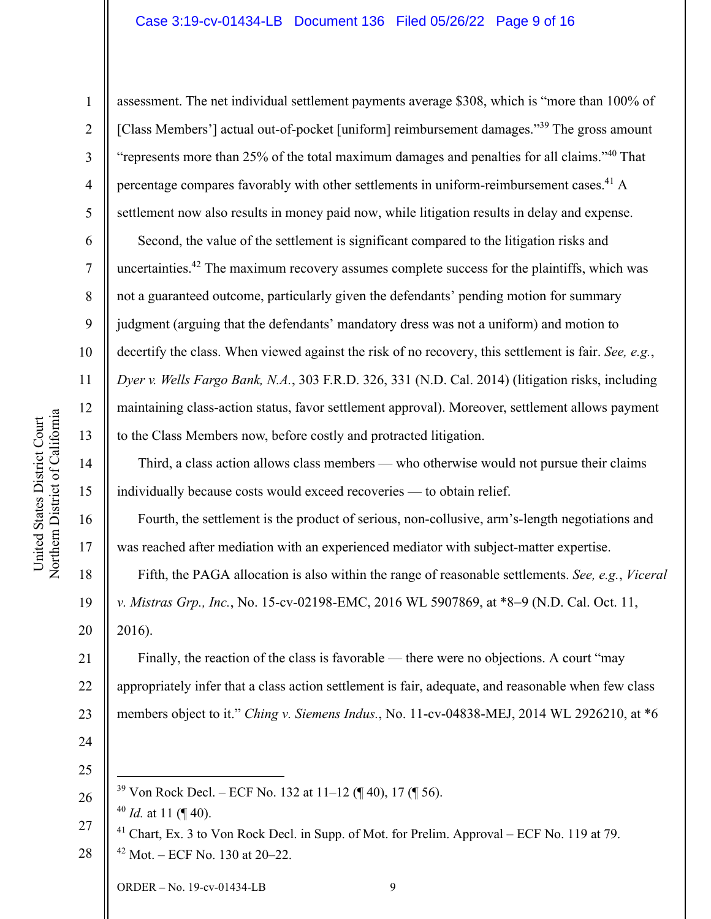#### Case 3:19-cv-01434-LB Document 136 Filed 05/26/22 Page 9 of 16

1

2

3

4

5

6

7

8

9

10

11

12

13

14

15

16

17

18

19

20

assessment. The net individual settlement payments average \$308, which is "more than 100% of [Class Members'] actual out-of-pocket [uniform] reimbursement damages."<sup>39</sup> The gross amount "represents more than 25% of the total maximum damages and penalties for all claims."40 That percentage compares favorably with other settlements in uniform-reimbursement cases.<sup>41</sup> A settlement now also results in money paid now, while litigation results in delay and expense.

Second, the value of the settlement is significant compared to the litigation risks and uncertainties.<sup>42</sup> The maximum recovery assumes complete success for the plaintiffs, which was not a guaranteed outcome, particularly given the defendants' pending motion for summary judgment (arguing that the defendants' mandatory dress was not a uniform) and motion to decertify the class. When viewed against the risk of no recovery, this settlement is fair. *See, e.g.*, *Dyer v. Wells Fargo Bank, N.A.*, 303 F.R.D. 326, 331 (N.D. Cal. 2014) (litigation risks, including maintaining class-action status, favor settlement approval). Moreover, settlement allows payment to the Class Members now, before costly and protracted litigation.

Third, a class action allows class members — who otherwise would not pursue their claims individually because costs would exceed recoveries — to obtain relief.

Fourth, the settlement is the product of serious, non-collusive, arm's-length negotiations and was reached after mediation with an experienced mediator with subject-matter expertise.

Fifth, the PAGA allocation is also within the range of reasonable settlements. *See, e.g.*, *Viceral v. Mistras Grp., Inc., No.* 15-cv-02198-EMC, 2016 WL 5907869, at \*8–9 (N.D. Cal. Oct. 11, 2016).

21 22 23 Finally, the reaction of the class is favorable — there were no objections. A court "may appropriately infer that a class action settlement is fair, adequate, and reasonable when few class members object to it." *Ching v. Siemens Indus.*, No. 11-cv-04838-MEJ, 2014 WL 2926210, at \*6

- 24
- 25 26

<sup>39</sup> Von Rock Decl. – ECF No. 132 at 11–12 (¶ 40), 17 (¶ 56).

<sup>40</sup> *Id.* at 11 (¶ 40).

<sup>27</sup>  28  $^{41}$  Chart, Ex. 3 to Von Rock Decl. in Supp. of Mot. for Prelim. Approval – ECF No. 119 at 79.  $42$  Mot. – ECF No. 130 at 20–22.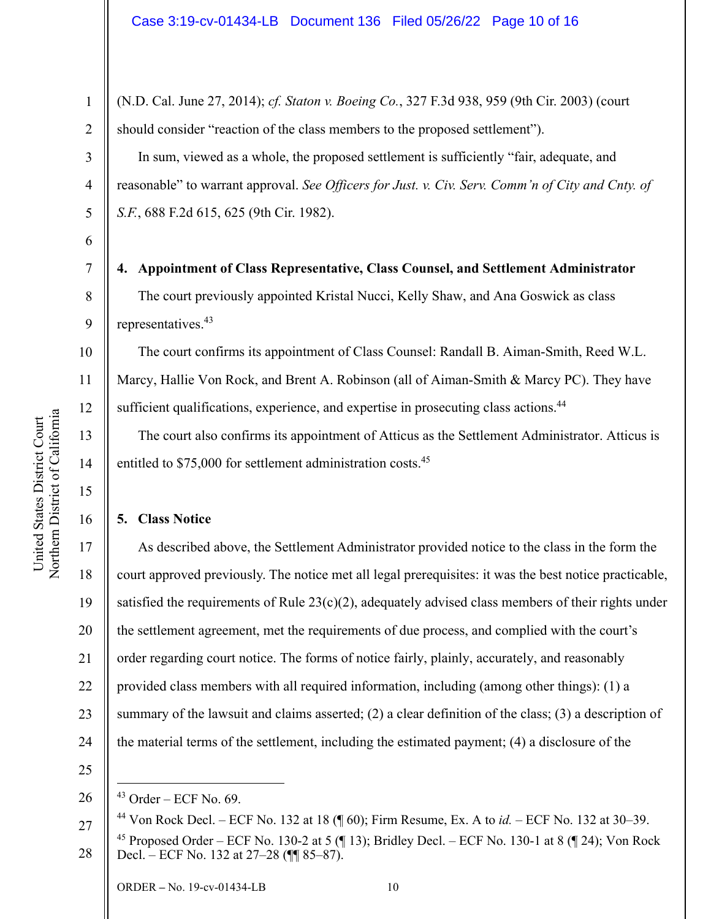(N.D. Cal. June 27, 2014); *cf. Staton v. Boeing Co.*, 327 F.3d 938, 959 (9th Cir. 2003) (court should consider "reaction of the class members to the proposed settlement").

In sum, viewed as a whole, the proposed settlement is sufficiently "fair, adequate, and reasonable" to warrant approval. *See Officers for Just. v. Civ. Serv. Comm'n of City and Cnty. of S.F.*, 688 F.2d 615, 625 (9th Cir. 1982).

**4. Appointment of Class Representative, Class Counsel, and Settlement Administrator**  The court previously appointed Kristal Nucci, Kelly Shaw, and Ana Goswick as class representatives.43

The court confirms its appointment of Class Counsel: Randall B. Aiman-Smith, Reed W.L. Marcy, Hallie Von Rock, and Brent A. Robinson (all of Aiman-Smith & Marcy PC). They have sufficient qualifications, experience, and expertise in prosecuting class actions.<sup>44</sup>

The court also confirms its appointment of Atticus as the Settlement Administrator. Atticus is entitled to \$75,000 for settlement administration costs.<sup>45</sup>

## **5. Class Notice**

17 18 19 20 21 22 23 24 As described above, the Settlement Administrator provided notice to the class in the form the court approved previously. The notice met all legal prerequisites: it was the best notice practicable, satisfied the requirements of Rule  $23(c)(2)$ , adequately advised class members of their rights under the settlement agreement, met the requirements of due process, and complied with the court's order regarding court notice. The forms of notice fairly, plainly, accurately, and reasonably provided class members with all required information, including (among other things): (1) a summary of the lawsuit and claims asserted; (2) a clear definition of the class; (3) a description of the material terms of the settlement, including the estimated payment; (4) a disclosure of the

25

1

2

3

4

5

6

7

8

9

10

11

12

13

14

15

<sup>26</sup>   $43$  Order – ECF No. 69.

<sup>27</sup>  44 Von Rock Decl. – ECF No. 132 at 18 (¶ 60); Firm Resume, Ex. A to *id.* – ECF No. 132 at 30–39.

<sup>28</sup>  <sup>45</sup> Proposed Order – ECF No. 130-2 at 5 ( $\parallel$  13); Bridley Decl. – ECF No. 130-1 at 8 ( $\parallel$  24); Von Rock Decl. – ECF No. 132 at 27–28 (¶¶ 85–87).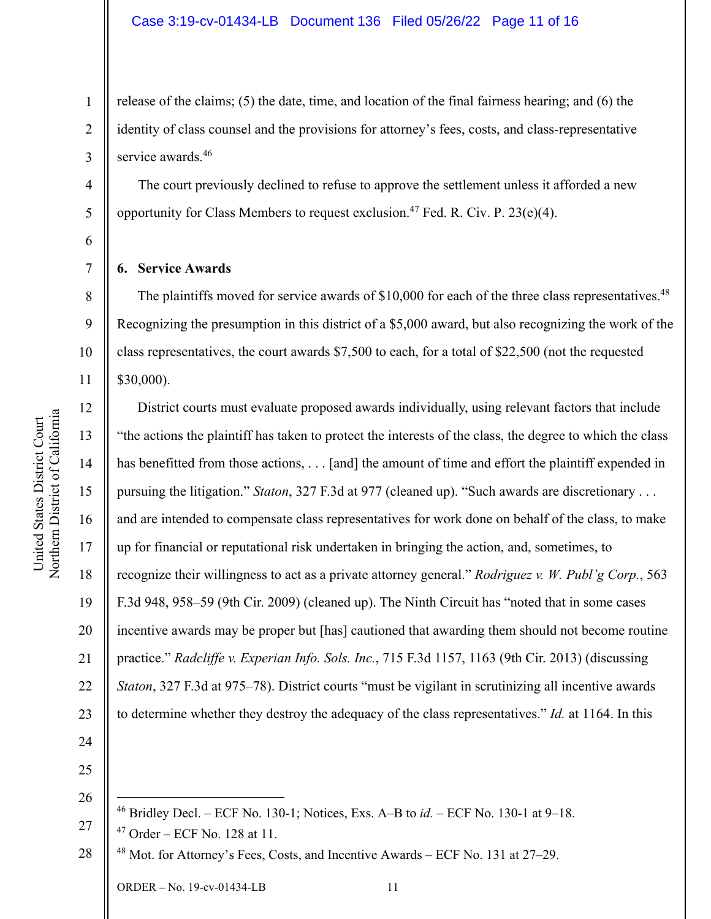release of the claims; (5) the date, time, and location of the final fairness hearing; and (6) the identity of class counsel and the provisions for attorney's fees, costs, and class-representative service awards.<sup>46</sup>

The court previously declined to refuse to approve the settlement unless it afforded a new opportunity for Class Members to request exclusion.<sup>47</sup> Fed. R. Civ. P. 23(e)(4).

**6. Service Awards** 

The plaintiffs moved for service awards of  $$10,000$  for each of the three class representatives.<sup>48</sup> Recognizing the presumption in this district of a \$5,000 award, but also recognizing the work of the class representatives, the court awards \$7,500 to each, for a total of \$22,500 (not the requested \$30,000).

 District courts must evaluate proposed awards individually, using relevant factors that include "the actions the plaintiff has taken to protect the interests of the class, the degree to which the class has benefitted from those actions, . . . [and] the amount of time and effort the plaintiff expended in pursuing the litigation." *Staton*, 327 F.3d at 977 (cleaned up). "Such awards are discretionary . . . and are intended to compensate class representatives for work done on behalf of the class, to make up for financial or reputational risk undertaken in bringing the action, and, sometimes, to recognize their willingness to act as a private attorney general." *Rodriguez v. W. Publ'g Corp.*, 563 F.3d 948, 958–59 (9th Cir. 2009) (cleaned up). The Ninth Circuit has "noted that in some cases incentive awards may be proper but [has] cautioned that awarding them should not become routine practice." *Radcliffe v. Experian Info. Sols. Inc.*, 715 F.3d 1157, 1163 (9th Cir. 2013) (discussing *Staton*, 327 F.3d at 975–78). District courts "must be vigilant in scrutinizing all incentive awards to determine whether they destroy the adequacy of the class representatives." *Id.* at 1164. In this

25 26

27  $47$  Order – ECF No. 128 at 11.

28  $48$  Mot. for Attorney's Fees, Costs, and Incentive Awards – ECF No. 131 at 27–29.

6

7

8

9

10

11

12

13

14

15

16

17

18

19

20

21

22

23

24

<sup>46</sup> Bridley Decl. – ECF No. 130-1; Notices, Exs. A–B to *id.* – ECF No. 130-1 at 9–18.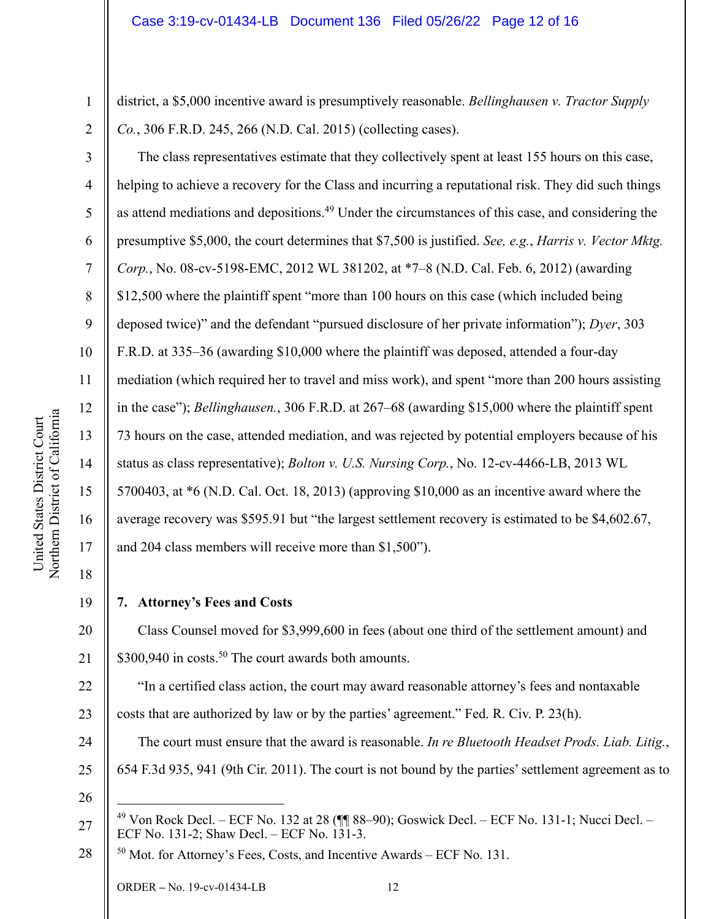1 2

3

4

5

6

7

8

9

10

11

12

a

13

14

15

United States District Court Northern District of Californi

United States District Court

16

17

district, a \$5,000 incentive award is presumptively reasonable. *Bellinghausen v. Tractor Supply Co.*, 306 F.R.D. 245, 266 (N.D. Cal. 2015) (collecting cases).

 The class representatives estimate that they collectively spent at least 155 hours on this case, helping to achieve a recovery for the Class and incurring a reputational risk. They did such things as attend mediations and depositions.49 Under the circumstances of this case, and considering the presumptive \$5,000, the court determines that \$7,500 is justified. *See, e.g.*, *Harris v. Vector Mktg. Corp.*, No. 08-cv-5198-EMC, 2012 WL 381202, at \*7–8 (N.D. Cal. Feb. 6, 2012) (awarding \$12,500 where the plaintiff spent "more than 100 hours on this case (which included being deposed twice)" and the defendant "pursued disclosure of her private information"); *Dyer*, 303 F.R.D. at 335–36 (awarding \$10,000 where the plaintiff was deposed, attended a four-day mediation (which required her to travel and miss work), and spent "more than 200 hours assisting in the case"); *Bellinghausen.*, 306 F.R.D. at 267–68 (awarding \$15,000 where the plaintiff spent 73 hours on the case, attended mediation, and was rejected by potential employers because of his status as class representative); *Bolton v. U.S. Nursing Corp.*, No. 12-cv-4466-LB, 2013 WL 5700403, at \*6 (N.D. Cal. Oct. 18, 2013) (approving \$10,000 as an incentive award where the average recovery was \$595.91 but "the largest settlement recovery is estimated to be \$4,602.67, and 204 class members will receive more than \$1,500").

18 19

# **7. Attorney's Fees and Costs**

20 21 Class Counsel moved for \$3,999,600 in fees (about one third of the settlement amount) and \$300,940 in costs.<sup>50</sup> The court awards both amounts.

22 23 "In a certified class action, the court may award reasonable attorney's fees and nontaxable costs that are authorized by law or by the parties' agreement." Fed. R. Civ. P. 23(h).

- 24 25 The court must ensure that the award is reasonable. *In re Bluetooth Headset Prods. Liab. Litig.*, 654 F.3d 935, 941 (9th Cir. 2011). The court is not bound by the parties' settlement agreement as to
- 26

28 50 Mot. for Attorney's Fees, Costs, and Incentive Awards – ECF No. 131.

<sup>27</sup>   $^{49}$  Von Rock Decl. – ECF No. 132 at 28 ( $\P$  $\%$  88–90); Goswick Decl. – ECF No. 131-1; Nucci Decl. – ECF No. 131-2; Shaw Decl. – ECF No. 131-3.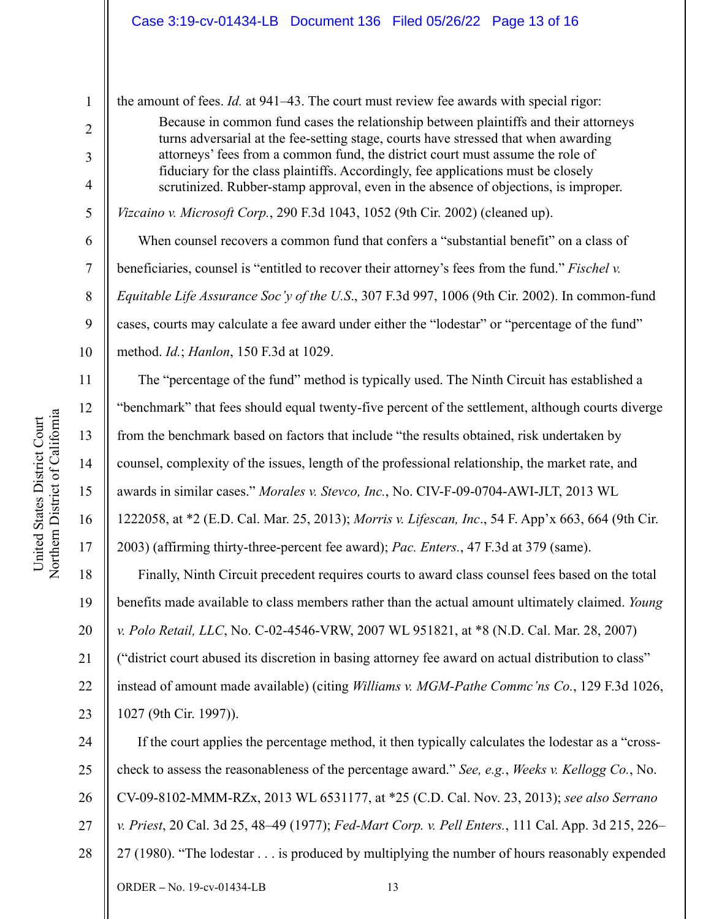the amount of fees. *Id.* at 941–43. The court must review fee awards with special rigor:

Because in common fund cases the relationship between plaintiffs and their attorneys turns adversarial at the fee-setting stage, courts have stressed that when awarding attorneys' fees from a common fund, the district court must assume the role of fiduciary for the class plaintiffs. Accordingly, fee applications must be closely scrutinized. Rubber-stamp approval, even in the absence of objections, is improper.

*Vizcaino v. Microsoft Corp.*, 290 F.3d 1043, 1052 (9th Cir. 2002) (cleaned up).

When counsel recovers a common fund that confers a "substantial benefit" on a class of beneficiaries, counsel is "entitled to recover their attorney's fees from the fund." *Fischel v. Equitable Life Assurance Soc'y of the U.S*., 307 F.3d 997, 1006 (9th Cir. 2002). In common-fund cases, courts may calculate a fee award under either the "lodestar" or "percentage of the fund" method. *Id.*; *Hanlon*, 150 F.3d at 1029.

The "percentage of the fund" method is typically used. The Ninth Circuit has established a "benchmark" that fees should equal twenty-five percent of the settlement, although courts diverge from the benchmark based on factors that include "the results obtained, risk undertaken by counsel, complexity of the issues, length of the professional relationship, the market rate, and awards in similar cases." *Morales v. Stevco, Inc.*, No. CIV-F-09-0704-AWI-JLT, 2013 WL 1222058, at \*2 (E.D. Cal. Mar. 25, 2013); *Morris v. Lifescan, Inc*., 54 F. App'x 663, 664 (9th Cir.

2003) (affirming thirty-three-percent fee award); *Pac. Enters.*, 47 F.3d at 379 (same).

18 19 20 21 22 23 Finally, Ninth Circuit precedent requires courts to award class counsel fees based on the total benefits made available to class members rather than the actual amount ultimately claimed. *Young v. Polo Retail, LLC*, No. C-02-4546-VRW, 2007 WL 951821, at \*8 (N.D. Cal. Mar. 28, 2007) ("district court abused its discretion in basing attorney fee award on actual distribution to class" instead of amount made available) (citing *Williams v. MGM-Pathe Commc'ns Co.*, 129 F.3d 1026, 1027 (9th Cir. 1997)).

24 25 26 27 28 If the court applies the percentage method, it then typically calculates the lodestar as a "crosscheck to assess the reasonableness of the percentage award." *See, e.g.*, *Weeks v. Kellogg Co.*, No. CV-09-8102-MMM-RZx, 2013 WL 6531177, at \*25 (C.D. Cal. Nov. 23, 2013); *see also Serrano v. Priest*, 20 Cal. 3d 25, 48–49 (1977); *Fed-Mart Corp. v. Pell Enters.*, 111 Cal. App. 3d 215, 226– 27 (1980). "The lodestar . . . is produced by multiplying the number of hours reasonably expended

1

2

3

4

5

6

7

8

9

10

11

12

13

14

15

16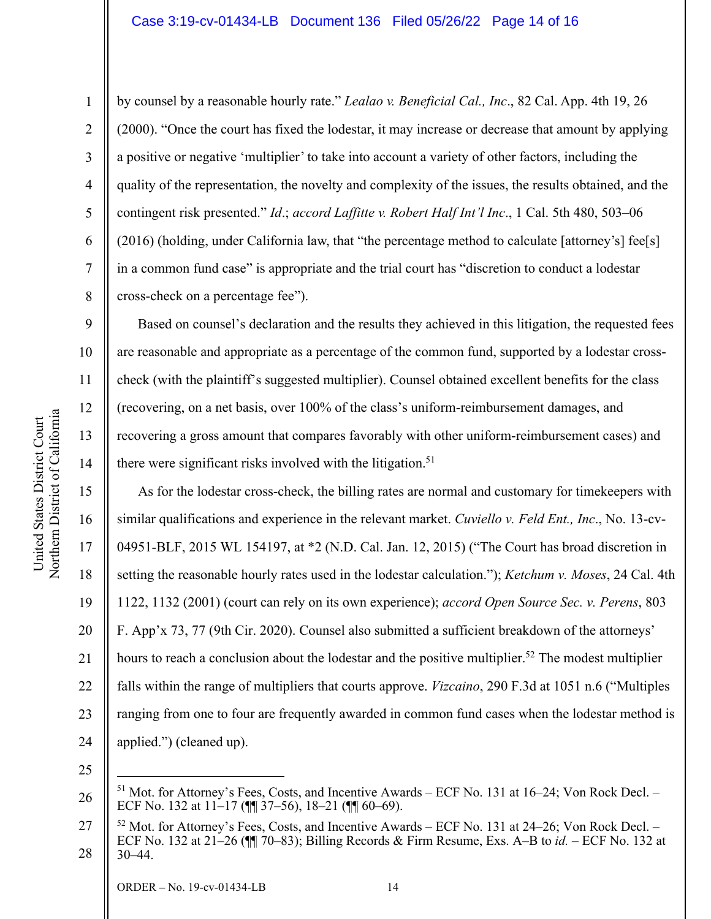by counsel by a reasonable hourly rate." *Lealao v. Beneficial Cal., Inc*., 82 Cal. App. 4th 19, 26 (2000). "Once the court has fixed the lodestar, it may increase or decrease that amount by applying a positive or negative 'multiplier' to take into account a variety of other factors, including the quality of the representation, the novelty and complexity of the issues, the results obtained, and the contingent risk presented." *Id*.; *accord Laffitte v. Robert Half Int'l Inc*., 1 Cal. 5th 480, 503–06 (2016) (holding, under California law, that "the percentage method to calculate [attorney's] fee[s] in a common fund case" is appropriate and the trial court has "discretion to conduct a lodestar cross-check on a percentage fee").

Based on counsel's declaration and the results they achieved in this litigation, the requested fees are reasonable and appropriate as a percentage of the common fund, supported by a lodestar crosscheck (with the plaintiff's suggested multiplier). Counsel obtained excellent benefits for the class (recovering, on a net basis, over 100% of the class's uniform-reimbursement damages, and recovering a gross amount that compares favorably with other uniform-reimbursement cases) and there were significant risks involved with the litigation.<sup>51</sup>

20 As for the lodestar cross-check, the billing rates are normal and customary for timekeepers with similar qualifications and experience in the relevant market. *Cuviello v. Feld Ent., Inc*., No. 13-cv-04951-BLF, 2015 WL 154197, at \*2 (N.D. Cal. Jan. 12, 2015) ("The Court has broad discretion in setting the reasonable hourly rates used in the lodestar calculation."); *Ketchum v. Moses*, 24 Cal. 4th 1122, 1132 (2001) (court can rely on its own experience); *accord Open Source Sec. v. Perens*, 803 F. App'x 73, 77 (9th Cir. 2020). Counsel also submitted a sufficient breakdown of the attorneys' hours to reach a conclusion about the lodestar and the positive multiplier.<sup>52</sup> The modest multiplier falls within the range of multipliers that courts approve. *Vizcaino*, 290 F.3d at 1051 n.6 ("Multiples ranging from one to four are frequently awarded in common fund cases when the lodestar method is applied.") (cleaned up).

25

26

a

1

2

3

4

5

6

7

8

9

10

11

12

13

14

15

16

17

18

19

21

22

23

 $51$  Mot. for Attorney's Fees, Costs, and Incentive Awards – ECF No. 131 at 16–24; Von Rock Decl. – ECF No. 132 at 11–17 (¶¶ 37–56), 18–21 (¶¶ 60–69).

<sup>27</sup>  28  $52$  Mot. for Attorney's Fees, Costs, and Incentive Awards – ECF No. 131 at 24–26; Von Rock Decl. – ECF No. 132 at 21–26 (¶¶ 70–83); Billing Records & Firm Resume, Exs. A–B to *id.* – ECF No. 132 at 30–44.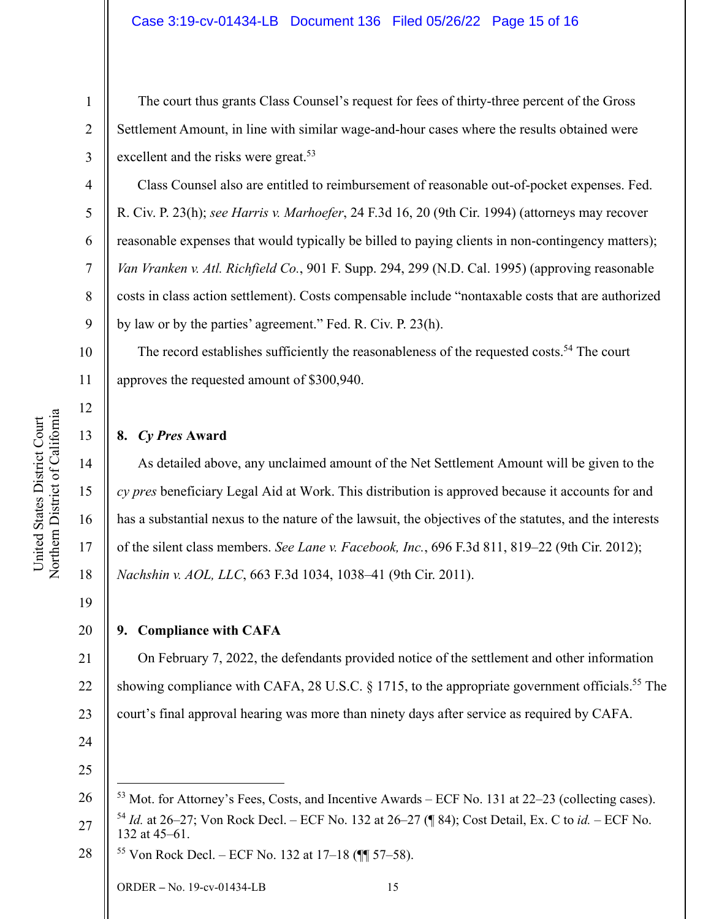The court thus grants Class Counsel's request for fees of thirty-three percent of the Gross Settlement Amount, in line with similar wage-and-hour cases where the results obtained were excellent and the risks were great.53

 Class Counsel also are entitled to reimbursement of reasonable out-of-pocket expenses. Fed. R. Civ. P. 23(h); *see Harris v. Marhoefer*, 24 F.3d 16, 20 (9th Cir. 1994) (attorneys may recover reasonable expenses that would typically be billed to paying clients in non-contingency matters); *Van Vranken v. Atl. Richfield Co.*, 901 F. Supp. 294, 299 (N.D. Cal. 1995) (approving reasonable costs in class action settlement). Costs compensable include "nontaxable costs that are authorized by law or by the parties' agreement." Fed. R. Civ. P. 23(h).

10 The record establishes sufficiently the reasonableness of the requested costs.<sup>54</sup> The court approves the requested amount of \$300,940.

#### **8.** *Cy Pres* **Award**

As detailed above, any unclaimed amount of the Net Settlement Amount will be given to the *cy pres* beneficiary Legal Aid at Work. This distribution is approved because it accounts for and has a substantial nexus to the nature of the lawsuit, the objectives of the statutes, and the interests of the silent class members. *See Lane v. Facebook, Inc.*, 696 F.3d 811, 819–22 (9th Cir. 2012); *Nachshin v. AOL, LLC*, 663 F.3d 1034, 1038–41 (9th Cir. 2011).

19

1

2

3

4

5

6

7

8

9

11

12

13

14

15

16

17

18

20

## **9. Compliance with CAFA**

21 22 23 On February 7, 2022, the defendants provided notice of the settlement and other information showing compliance with CAFA, 28 U.S.C. § 1715, to the appropriate government officials.<sup>55</sup> The court's final approval hearing was more than ninety days after service as required by CAFA.

24

25

26  $53$  Mot. for Attorney's Fees, Costs, and Incentive Awards – ECF No. 131 at 22–23 (collecting cases).

27 <sup>54</sup> *Id.* at 26–27; Von Rock Decl. – ECF No. 132 at 26–27 (¶ 84); Cost Detail, Ex. C to *id.* – ECF No. 132 at 45–61.

28 55 Von Rock Decl. – ECF No. 132 at 17–18 (¶¶ 57–58).